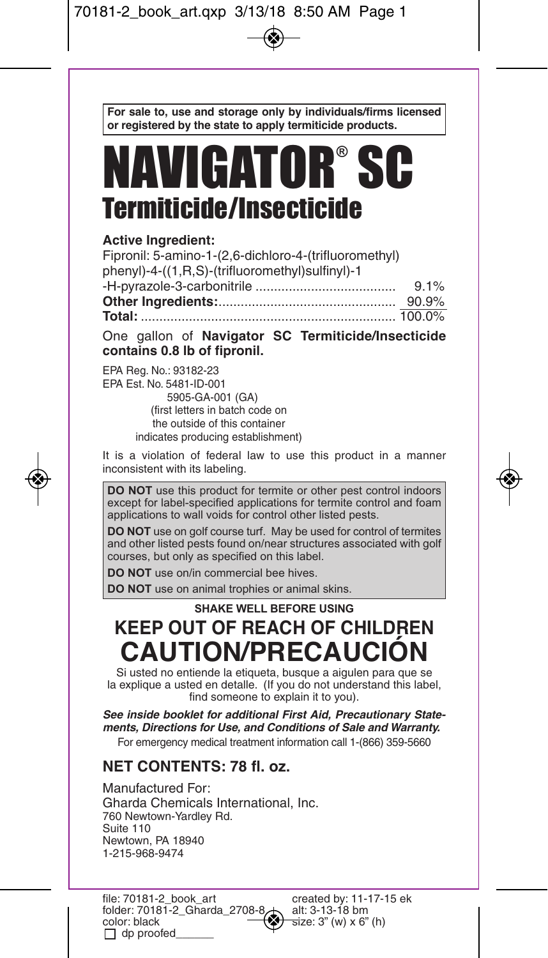**For sale to, use and storage only by individuals/firms licensed or registered by the state to apply termiticide products.**

# NAVIGATOR® SC Termiticide/Insecticide

## **Active Ingredient:**

| Fipronil: 5-amino-1-(2,6-dichloro-4-(trifluoromethyl) |     |
|-------------------------------------------------------|-----|
| phenyl)-4-((1,R,S)-(trifluoromethyl)sulfinyl)-1       |     |
|                                                       | 91% |
|                                                       |     |
|                                                       |     |
|                                                       |     |

One gallon of **Navigator SC Termiticide/Insecticide contains 0.8 lb of fipronil.**

EPA Reg. No.: 93182-23 EPA Est. No. 5481-ID-001 5905-GA-001 (GA) (first letters in batch code on the outside of this container indicates producing establishment)

It is a violation of federal law to use this product in a manner inconsistent with its labeling.

**DO NOT** use this product for termite or other pest control indoors except for label-specified applications for termite control and foam applications to wall voids for control other listed pests.

**DO NOT** use on golf course turf. May be used for control of termites and other listed pests found on/near structures associated with golf courses, but only as specified on this label.

**DO NOT** use on/in commercial bee hives.

**DO NOT** use on animal trophies or animal skins.

## **SHAKE WELL BEFORE USING KEEP OUT OF REACH OF CHILDREN CAUTION/PRECAUCIÓN**

Si usted no entiende la etiqueta, busque a aigulen para que se la explique a usted en detalle. (If you do not understand this label, find someone to explain it to you).

*See inside booklet for additional First Aid, Precautionary Statements, Directions for Use, and Conditions of Sale and Warranty.* For emergency medical treatment information call 1-(866) 359-5660

## **NET CONTENTS: 78 fl. oz.**

Manufactured For: Gharda Chemicals International, Inc. 760 Newtown-Yardley Rd. Suite 110 Newtown, PA 18940 1-215-968-9474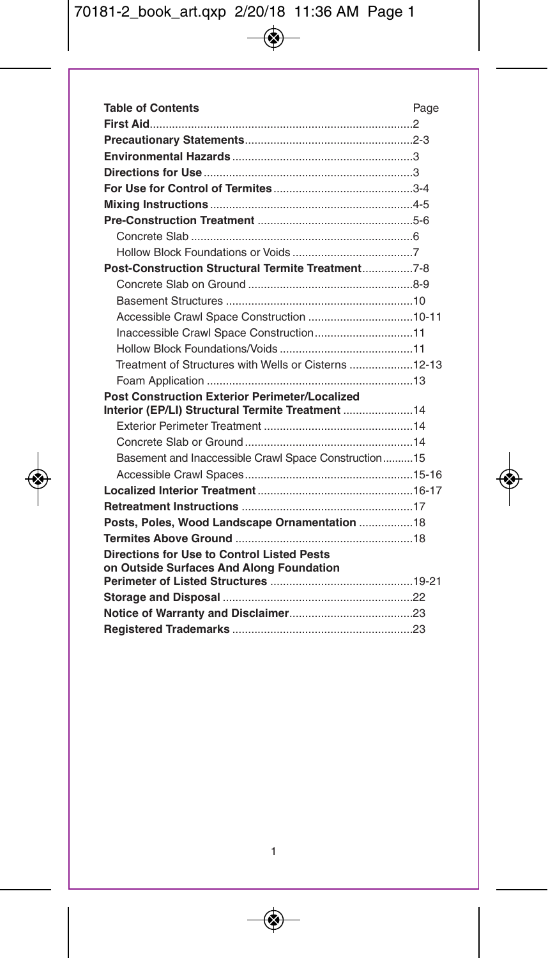| <b>Table of Contents</b>                                                                                  | Page |
|-----------------------------------------------------------------------------------------------------------|------|
|                                                                                                           |      |
|                                                                                                           |      |
|                                                                                                           |      |
|                                                                                                           |      |
|                                                                                                           |      |
|                                                                                                           |      |
|                                                                                                           |      |
|                                                                                                           |      |
|                                                                                                           |      |
|                                                                                                           |      |
|                                                                                                           |      |
|                                                                                                           |      |
|                                                                                                           |      |
| Inaccessible Crawl Space Construction11                                                                   |      |
|                                                                                                           |      |
| Treatment of Structures with Wells or Cisterns 12-13                                                      |      |
|                                                                                                           |      |
| <b>Post Construction Exterior Perimeter/Localized</b><br>Interior (EP/LI) Structural Termite Treatment 14 |      |
|                                                                                                           |      |
|                                                                                                           |      |
| Basement and Inaccessible Crawl Space Construction15                                                      |      |
|                                                                                                           |      |
|                                                                                                           |      |
|                                                                                                           |      |
| Posts, Poles, Wood Landscape Ornamentation 18                                                             |      |
|                                                                                                           |      |
| Directions for Use to Control Listed Pests                                                                |      |
| on Outside Surfaces And Along Foundation                                                                  |      |
|                                                                                                           |      |
|                                                                                                           |      |
|                                                                                                           |      |
|                                                                                                           |      |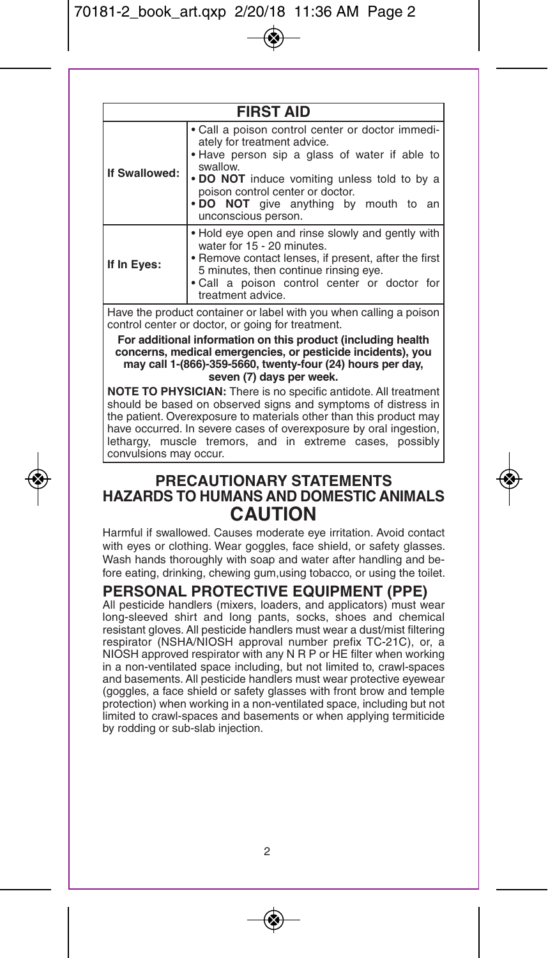| <b>FIRST AID</b> |                                                                                                                                                                                                                                                                                                  |  |  |  |
|------------------|--------------------------------------------------------------------------------------------------------------------------------------------------------------------------------------------------------------------------------------------------------------------------------------------------|--|--|--|
| If Swallowed:    | . Call a poison control center or doctor immedi-<br>ately for treatment advice.<br>. Have person sip a glass of water if able to<br>swallow.<br>• DO NOT induce vomiting unless told to by a<br>poison control center or doctor.<br>. DO NOT give anything by mouth to an<br>unconscious person. |  |  |  |
| If In Eyes:      | . Hold eye open and rinse slowly and gently with<br>water for 15 - 20 minutes.<br>• Remove contact lenses, if present, after the first<br>5 minutes, then continue rinsing eye.<br>. Call a poison control center or doctor for<br>treatment advice.                                             |  |  |  |

Have the product container or label with you when calling a poison control center or doctor, or going for treatment.

**For additional information on this product (including health concerns, medical emergencies, or pesticide incidents), you may call 1-(866)-359-5660, twenty-four (24) hours per day, seven (7) days per week.**

**NOTE TO PHYSICIAN:** There is no specific antidote. All treatment should be based on observed signs and symptoms of distress in the patient. Overexposure to materials other than this product may have occurred. In severe cases of overexposure by oral ingestion, lethargy, muscle tremors, and in extreme cases, possibly convulsions may occur.

## **PRECAUTIONARY STATEMENTS HAZARDS TO HUMANS AND DOMESTIC ANIMALS CAUTION**

Harmful if swallowed. Causes moderate eye irritation. Avoid contact with eyes or clothing. Wear goggles, face shield, or safety glasses. Wash hands thoroughly with soap and water after handling and before eating, drinking, chewing gum,using tobacco, or using the toilet.

# **PERSONAL PROTECTIVE EQUIPMENT (PPE)** All pesticide handlers (mixers, loaders, and applicators) must wear

long-sleeved shirt and long pants, socks, shoes and chemical resistant gloves. All pesticide handlers must wear a dust/mist filtering respirator (NSHA/NIOSH approval number prefix TC-21C), or, a NIOSH approved respirator with any N R P or HE filter when working in a non-ventilated space including, but not limited to, crawl-spaces and basements. All pesticide handlers must wear protective eyewear (goggles, a face shield or safety glasses with front brow and temple protection) when working in a non-ventilated space, including but not limited to crawl-spaces and basements or when applying termiticide by rodding or sub-slab injection.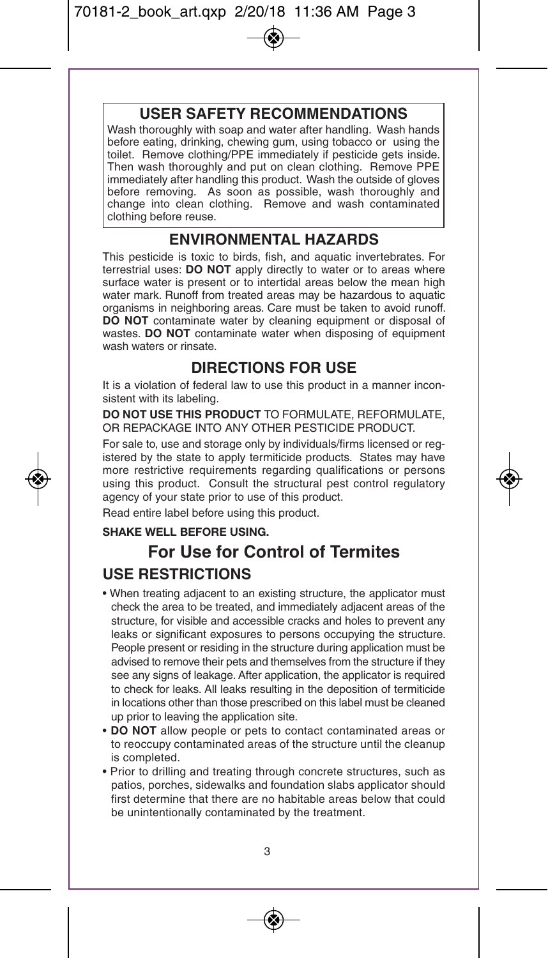## **USER SAFETY RECOMMENDATIONS**

Wash thoroughly with soap and water after handling. Wash hands before eating, drinking, chewing gum, using tobacco or using the toilet. Remove clothing/PPE immediately if pesticide gets inside. Then wash thoroughly and put on clean clothing. Remove PPE immediately after handling this product. Wash the outside of gloves before removing. As soon as possible, wash thoroughly and change into clean clothing. Remove and wash contaminated clothing before reuse.

## **ENVIRONMENTAL HAZARDS**

This pesticide is toxic to birds, fish, and aquatic invertebrates. For terrestrial uses: **DO NOT** apply directly to water or to areas where surface water is present or to intertidal areas below the mean high water mark. Runoff from treated areas may be hazardous to aquatic organisms in neighboring areas. Care must be taken to avoid runoff. **DO NOT** contaminate water by cleaning equipment or disposal of wastes. **DO NOT** contaminate water when disposing of equipment wash waters or rinsate.

## **DIRECTIONS FOR USE**

It is a violation of federal law to use this product in a manner inconsistent with its labeling.

**DO NOT USE THIS PRODUCT** TO FORMULATE, REFORMULATE, OR REPACKAGE INTO ANY OTHER PESTICIDE PRODUCT.

For sale to, use and storage only by individuals/firms licensed or registered by the state to apply termiticide products. States may have more restrictive requirements regarding qualifications or persons using this product. Consult the structural pest control regulatory agency of your state prior to use of this product.

Read entire label before using this product.

### **SHAKE WELL BEFORE USING.**

## **For Use for Control of Termites USE RESTRICTIONS**

- When treating adjacent to an existing structure, the applicator must check the area to be treated, and immediately adjacent areas of the structure, for visible and accessible cracks and holes to prevent any leaks or significant exposures to persons occupying the structure. People present or residing in the structure during application must be advised to remove their pets and themselves from the structure if they see any signs of leakage. After application, the applicator is required to check for leaks. All leaks resulting in the deposition of termiticide in locations other than those prescribed on this label must be cleaned up prior to leaving the application site.
- **DO NOT** allow people or pets to contact contaminated areas or to reoccupy contaminated areas of the structure until the cleanup is completed.
- Prior to drilling and treating through concrete structures, such as patios, porches, sidewalks and foundation slabs applicator should first determine that there are no habitable areas below that could be unintentionally contaminated by the treatment.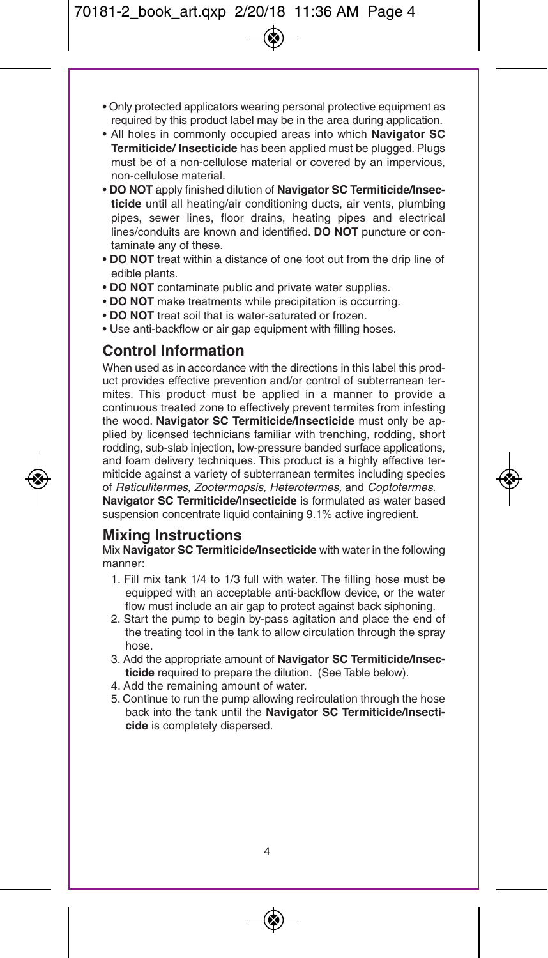- Only protected applicators wearing personal protective equipment as required by this product label may be in the area during application.
- All holes in commonly occupied areas into which **Navigator SC Termiticide/ Insecticide** has been applied must be plugged. Plugs must be of a non-cellulose material or covered by an impervious, non-cellulose material.
- **DO NOT** apply finished dilution of **Navigator SC Termiticide/Insecticide** until all heating/air conditioning ducts, air vents, plumbing pipes, sewer lines, floor drains, heating pipes and electrical lines/conduits are known and identified. **DO NOT** puncture or contaminate any of these.
- **DO NOT** treat within a distance of one foot out from the drip line of edible plants.
- **DO NOT** contaminate public and private water supplies.
- **DO NOT** make treatments while precipitation is occurring.
- **DO NOT** treat soil that is water-saturated or frozen.
- Use anti-backflow or air gap equipment with filling hoses.

## **Control Information**

When used as in accordance with the directions in this label this product provides effective prevention and/or control of subterranean termites. This product must be applied in a manner to provide a continuous treated zone to effectively prevent termites from infesting the wood. **Navigator SC Termiticide/Insecticide** must only be applied by licensed technicians familiar with trenching, rodding, short rodding, sub-slab injection, low-pressure banded surface applications, and foam delivery techniques. This product is a highly effective termiticide against a variety of subterranean termites including species of *Reticulitermes, Zootermopsis, Heterotermes,* and *Coptotermes.* **Navigator SC Termiticide/Insecticide** is formulated as water based suspension concentrate liquid containing 9.1% active ingredient.

**Mixing Instructions**<br>Mix **Navigator SC Termiticide/Insecticide** with water in the following manner:

- 1. Fill mix tank 1/4 to 1/3 full with water. The filling hose must be equipped with an acceptable anti-backflow device, or the water flow must include an air gap to protect against back siphoning.
- 2. Start the pump to begin by-pass agitation and place the end of the treating tool in the tank to allow circulation through the spray hose.
- 3. Add the appropriate amount of **Navigator SC Termiticide/Insecticide** required to prepare the dilution. (See Table below).
- 4. Add the remaining amount of water.
- 5. Continue to run the pump allowing recirculation through the hose back into the tank until the **Navigator SC Termiticide/Insecticide** is completely dispersed.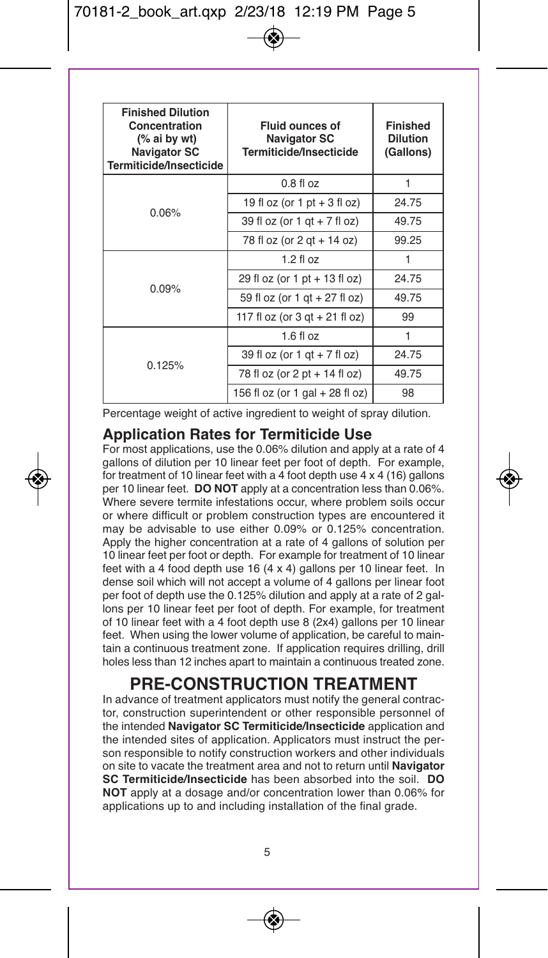| <b>Finished Dilution</b><br>Concentration<br>(% ai by wt)<br><b>Navigator SC</b><br>Termiticide/Insecticide | <b>Fluid ounces of</b><br>Navigator SC<br>Termiticide/Insecticide | <b>Finished</b><br><b>Dilution</b><br>(Gallons) |
|-------------------------------------------------------------------------------------------------------------|-------------------------------------------------------------------|-------------------------------------------------|
| 0.06%                                                                                                       | $0.8$ fl $oz$                                                     | 1                                               |
|                                                                                                             | 19 fl oz (or 1 pt $+$ 3 fl oz)                                    | 24.75                                           |
|                                                                                                             | 39 fl oz (or 1 gt + 7 fl oz)                                      | 49.75                                           |
|                                                                                                             | 78 fl oz (or 2 gt + 14 oz)                                        | 99.25                                           |
| 0.09%                                                                                                       | $1.2$ fl $oz$                                                     | 1                                               |
|                                                                                                             | 29 fl oz (or 1 pt + 13 fl oz)                                     | 24.75                                           |
|                                                                                                             | 59 fl oz (or 1 qt + 27 fl oz)                                     | 49.75                                           |
|                                                                                                             | 117 fl oz (or $3$ qt + $21$ fl oz)                                | 99                                              |
| 0.125%                                                                                                      | $1.6$ fl $oz$                                                     | 1                                               |
|                                                                                                             | 39 fl oz (or 1 gt + 7 fl oz)                                      | 24.75                                           |
|                                                                                                             | 78 fl oz (or 2 pt + 14 fl oz)                                     | 49.75                                           |
|                                                                                                             | 156 fl oz (or 1 gal + 28 fl oz)                                   | 98                                              |

Percentage weight of active ingredient to weight of spray dilution.

### **Application Rates for Termiticide Use**

For most applications, use the 0.06% dilution and apply at a rate of 4 gallons of dilution per 10 linear feet per foot of depth. For example, for treatment of 10 linear feet with a 4 foot depth use 4 x 4 (16) gallons per 10 linear feet. **DO NOT** apply at a concentration less than 0.06%. Where severe termite infestations occur, where problem soils occur or where difficult or problem construction types are encountered it may be advisable to use either 0.09% or 0.125% concentration. Apply the higher concentration at a rate of 4 gallons of solution per 10 linear feet per foot or depth. For example for treatment of 10 linear feet with a 4 food depth use 16 (4 x 4) gallons per 10 linear feet. In dense soil which will not accept a volume of 4 gallons per linear foot per foot of depth use the 0.125% dilution and apply at a rate of 2 gallons per 10 linear feet per foot of depth. For example, for treatment of 10 linear feet with a 4 foot depth use 8 (2x4) gallons per 10 linear feet. When using the lower volume of application, be careful to maintain a continuous treatment zone. If application requires drilling, drill holes less than 12 inches apart to maintain a continuous treated zone.

## **PRE-CONSTRUCTION TREATMENT**

In advance of treatment applicators must notify the general contractor, construction superintendent or other responsible personnel of the intended **Navigator SC Termiticide/Insecticide** application and the intended sites of application. Applicators must instruct the person responsible to notify construction workers and other individuals on site to vacate the treatment area and not to return until **Navigator SC Termiticide/Insecticide** has been absorbed into the soil. **DO NOT** apply at a dosage and/or concentration lower than 0.06% for applications up to and including installation of the final grade.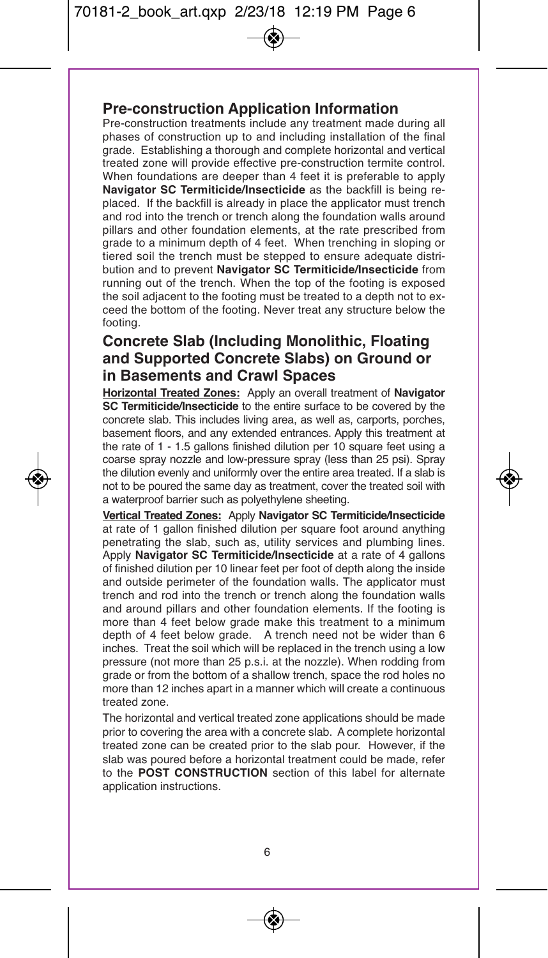## **Pre-construction Application Information**

Pre-construction treatments include any treatment made during all phases of construction up to and including installation of the final grade. Establishing a thorough and complete horizontal and vertical treated zone will provide effective pre-construction termite control. When foundations are deeper than 4 feet it is preferable to apply **Navigator SC Termiticide/Insecticide** as the backfill is being replaced. If the backfill is already in place the applicator must trench and rod into the trench or trench along the foundation walls around pillars and other foundation elements, at the rate prescribed from grade to a minimum depth of 4 feet. When trenching in sloping or tiered soil the trench must be stepped to ensure adequate distribution and to prevent **Navigator SC Termiticide/Insecticide** from running out of the trench. When the top of the footing is exposed the soil adjacent to the footing must be treated to a depth not to exceed the bottom of the footing. Never treat any structure below the footing.

## **Concrete Slab (Including Monolithic, Floating and Supported Concrete Slabs) on Ground or in Basements and Crawl Spaces**

**Horizontal Treated Zones:** Apply an overall treatment of **Navigator SC Termiticide/Insecticide** to the entire surface to be covered by the concrete slab. This includes living area, as well as, carports, porches, basement floors, and any extended entrances. Apply this treatment at the rate of 1 - 1.5 gallons finished dilution per 10 square feet using a coarse spray nozzle and low-pressure spray (less than 25 psi). Spray the dilution evenly and uniformly over the entire area treated. If a slab is not to be poured the same day as treatment, cover the treated soil with a waterproof barrier such as polyethylene sheeting.

**Vertical Treated Zones:** Apply **Navigator SC Termiticide/Insecticide** at rate of 1 gallon finished dilution per square foot around anything penetrating the slab, such as, utility services and plumbing lines. Apply **Navigator SC Termiticide/Insecticide** at a rate of 4 gallons of finished dilution per 10 linear feet per foot of depth along the inside and outside perimeter of the foundation walls. The applicator must trench and rod into the trench or trench along the foundation walls and around pillars and other foundation elements. If the footing is more than 4 feet below grade make this treatment to a minimum depth of 4 feet below grade. A trench need not be wider than 6 inches. Treat the soil which will be replaced in the trench using a low pressure (not more than 25 p.s.i. at the nozzle). When rodding from grade or from the bottom of a shallow trench, space the rod holes no more than 12 inches apart in a manner which will create a continuous treated zone.

The horizontal and vertical treated zone applications should be made prior to covering the area with a concrete slab. A complete horizontal treated zone can be created prior to the slab pour. However, if the slab was poured before a horizontal treatment could be made, refer to the **POST CONSTRUCTION** section of this label for alternate application instructions.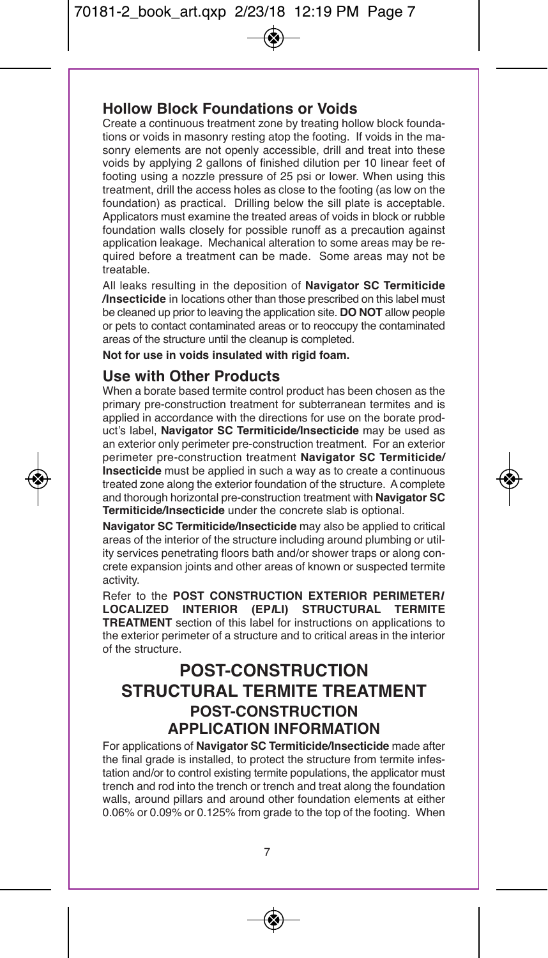## **Hollow Block Foundations or Voids**

Create a continuous treatment zone by treating hollow block foundations or voids in masonry resting atop the footing. If voids in the masonry elements are not openly accessible, drill and treat into these voids by applying 2 gallons of finished dilution per 10 linear feet of footing using a nozzle pressure of 25 psi or lower. When using this treatment, drill the access holes as close to the footing (as low on the foundation) as practical. Drilling below the sill plate is acceptable. Applicators must examine the treated areas of voids in block or rubble foundation walls closely for possible runoff as a precaution against application leakage. Mechanical alteration to some areas may be required before a treatment can be made. Some areas may not be treatable.

All leaks resulting in the deposition of **Navigator SC Termiticide /Insecticide** in locations other than those prescribed on this label must be cleaned up prior to leaving the application site. **DO NOT** allow people or pets to contact contaminated areas or to reoccupy the contaminated areas of the structure until the cleanup is completed.

**Not for use in voids insulated with rigid foam.**

## **Use with Other Products**

When a borate based termite control product has been chosen as the primary pre-construction treatment for subterranean termites and is applied in accordance with the directions for use on the borate product's label, **Navigator SC Termiticide/Insecticide** may be used as an exterior only perimeter pre-construction treatment. For an exterior perimeter pre-construction treatment **Navigator SC Termiticide/ Insecticide** must be applied in such a way as to create a continuous treated zone along the exterior foundation of the structure. Acomplete and thorough horizontal pre-construction treatment with **Navigator SC Termiticide/Insecticide** under the concrete slab is optional.

**Navigator SC Termiticide/Insecticide** may also be applied to critical areas of the interior of the structure including around plumbing or utility services penetrating floors bath and/or shower traps or along concrete expansion joints and other areas of known or suspected termite activity.

Refer to the **POST CONSTRUCTION EXTERIOR PERIMETER***I* **LOCALIZED INTERIOR (EP***I***LI)</del> TREATMENT** section of this label for instructions on applications to the exterior perimeter of a structure and to critical areas in the interior of the structure.

## **POST-CONSTRUCTION STRUCTURAL TERMITE TREATMENT POST-CONSTRUCTION APPLICATION INFORMATION**

For applications of **Navigator SC Termiticide/Insecticide** made after the final grade is installed, to protect the structure from termite infestation and/or to control existing termite populations, the applicator must trench and rod into the trench or trench and treat along the foundation walls, around pillars and around other foundation elements at either 0.06% or 0.09% or 0.125% from grade to the top of the footing. When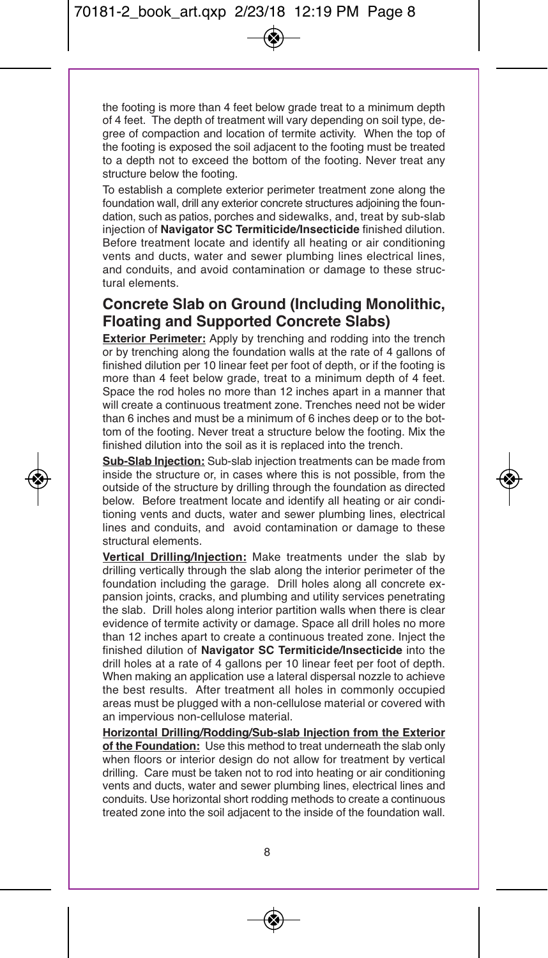the footing is more than 4 feet below grade treat to a minimum depth of 4 feet. The depth of treatment will vary depending on soil type, degree of compaction and location of termite activity. When the top of the footing is exposed the soil adjacent to the footing must be treated to a depth not to exceed the bottom of the footing. Never treat any structure below the footing.

To establish a complete exterior perimeter treatment zone along the foundation wall, drill any exterior concrete structures adjoining the foundation, such as patios, porches and sidewalks, and, treat by sub-slab injection of **Navigator SC Termiticide/Insecticide** finished dilution. Before treatment locate and identify all heating or air conditioning vents and ducts, water and sewer plumbing lines electrical lines, and conduits, and avoid contamination or damage to these structural elements.

## **Concrete Slab on Ground (Including Monolithic, Floating and Supported Concrete Slabs)**

**Exterior Perimeter:** Apply by trenching and rodding into the trench or by trenching along the foundation walls at the rate of 4 gallons of finished dilution per 10 linear feet per foot of depth, or if the footing is more than 4 feet below grade, treat to a minimum depth of 4 feet. Space the rod holes no more than 12 inches apart in a manner that will create a continuous treatment zone. Trenches need not be wider than 6 inches and must be a minimum of 6 inches deep or to the bottom of the footing. Never treat a structure below the footing. Mix the finished dilution into the soil as it is replaced into the trench.

**Sub-Slab Injection:** Sub-slab injection treatments can be made from inside the structure or, in cases where this is not possible, from the outside of the structure by drilling through the foundation as directed below. Before treatment locate and identify all heating or air conditioning vents and ducts, water and sewer plumbing lines, electrical lines and conduits, and avoid contamination or damage to these structural elements.

**Vertical Drilling/Injection:** Make treatments under the slab by drilling vertically through the slab along the interior perimeter of the foundation including the garage. Drill holes along all concrete expansion joints, cracks, and plumbing and utility services penetrating the slab. Drill holes along interior partition walls when there is clear evidence of termite activity or damage. Space all drill holes no more than 12 inches apart to create a continuous treated zone. Inject the finished dilution of **Navigator SC Termiticide/Insecticide** into the drill holes at a rate of 4 gallons per 10 linear feet per foot of depth. When making an application use a lateral dispersal nozzle to achieve the best results. After treatment all holes in commonly occupied areas must be plugged with a non-cellulose material or covered with an impervious non-cellulose material.

**Horizontal Drilling/Rodding/Sub-slab Injection from the Exterior of the Foundation:** Use this method to treat underneath the slab only when floors or interior design do not allow for treatment by vertical drilling. Care must be taken not to rod into heating or air conditioning vents and ducts, water and sewer plumbing lines, electrical lines and conduits. Use horizontal short rodding methods to create a continuous treated zone into the soil adjacent to the inside of the foundation wall.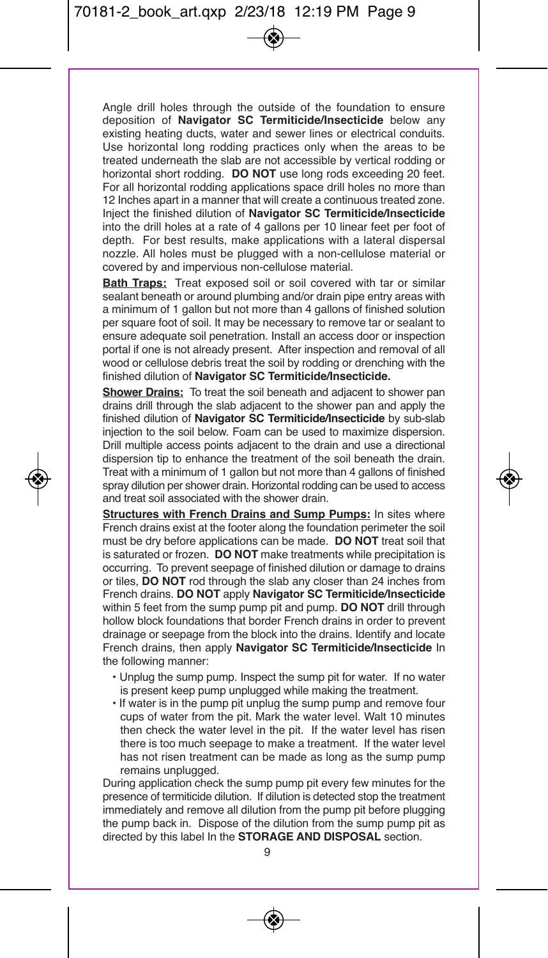Angle drill holes through the outside of the foundation to ensure deposition of **Navigator SC Termiticide/Insecticide** below any existing heating ducts, water and sewer lines or electrical conduits. Use horizontal long rodding practices only when the areas to be treated underneath the slab are not accessible by vertical rodding or horizontal short rodding. **DO NOT** use long rods exceeding 20 feet. For all horizontal rodding applications space drill holes no more than 12 Inches apart in a manner that will create a continuous treated zone. Inject the finished dilution of **Navigator SC Termiticide/Insecticide** into the drill holes at a rate of 4 gallons per 10 linear feet per foot of depth. For best results, make applications with a lateral dispersal nozzle. All holes must be plugged with a non-cellulose material or covered by and impervious non-cellulose material.

**Bath Traps:** Treat exposed soil or soil covered with tar or similar sealant beneath or around plumbing and/or drain pipe entry areas with a minimum of 1 gallon but not more than 4 gallons of finished solution per square foot of soil. It may be necessary to remove tar or sealant to ensure adequate soil penetration. Install an access door or inspection portal if one is not already present. After inspection and removal of all wood or cellulose debris treat the soil by rodding or drenching with the finished dilution of **Navigator SC Termiticide/Insecticide.**

**Shower Drains:** To treat the soil beneath and adjacent to shower pan drains drill through the slab adjacent to the shower pan and apply the finished dilution of **Navigator SC Termiticide/Insecticide** by sub-slab injection to the soil below. Foam can be used to maximize dispersion. Drill multiple access points adjacent to the drain and use a directional dispersion tip to enhance the treatment of the soil beneath the drain. Treat with a minimum of 1 gallon but not more than 4 gallons of finished spray dilution per shower drain. Horizontal rodding can be used to access and treat soil associated with the shower drain.

**Structures with French Drains and Sump Pumps:** In sites where French drains exist at the footer along the foundation perimeter the soil must be dry before applications can be made. **DO NOT** treat soil that is saturated or frozen. **DO NOT** make treatments while precipitation is occurring. To prevent seepage of finished dilution or damage to drains or tiles, **DO NOT** rod through the slab any closer than 24 inches from French drains. **DO NOT** apply **Navigator SC Termiticide/Insecticide** within 5 feet from the sump pump pit and pump. **DO NOT** drill through hollow block foundations that border French drains in order to prevent drainage or seepage from the block into the drains. Identify and locate French drains, then apply **Navigator SC Termiticide/Insecticide** In the following manner:

- Unplug the sump pump. Inspect the sump pit for water. If no water is present keep pump unplugged while making the treatment.
- If water is in the pump pit unplug the sump pump and remove four cups of water from the pit. Mark the water level. Walt 10 minutes then check the water level in the pit. If the water level has risen there is too much seepage to make a treatment. If the water level has not risen treatment can be made as long as the sump pump remains unplugged.

During application check the sump pump pit every few minutes for the presence of termiticide dilution. If dilution is detected stop the treatment immediately and remove all dilution from the pump pit before plugging the pump back in. Dispose of the dilution from the sump pump pit as directed by this label In the **STORAGE AND DISPOSAL** section.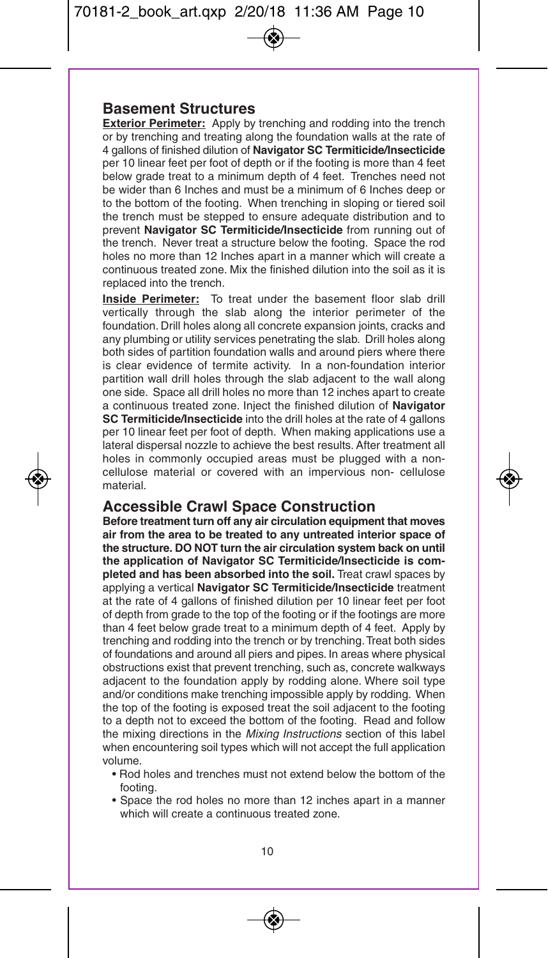### **Basement Structures**

**Exterior Perimeter:** Apply by trenching and rodding into the trench or by trenching and treating along the foundation walls at the rate of 4 gallons of finished dilution of **Navigator SC Termiticide/Insecticide** per 10 linear feet per foot of depth or if the footing is more than 4 feet below grade treat to a minimum depth of 4 feet. Trenches need not be wider than 6 Inches and must be a minimum of 6 Inches deep or to the bottom of the footing. When trenching in sloping or tiered soil the trench must be stepped to ensure adequate distribution and to prevent **Navigator SC Termiticide/Insecticide** from running out of the trench. Never treat a structure below the footing. Space the rod holes no more than 12 Inches apart in a manner which will create a continuous treated zone. Mix the finished dilution into the soil as it is replaced into the trench.

**Inside Perimeter:** To treat under the basement floor slab drill vertically through the slab along the interior perimeter of the foundation. Drill holes along all concrete expansion joints, cracks and any plumbing or utility services penetrating the slab. Drill holes along both sides of partition foundation walls and around piers where there is clear evidence of termite activity. In a non-foundation interior partition wall drill holes through the slab adjacent to the wall along one side. Space all drill holes no more than 12 inches apart to create a continuous treated zone. Inject the finished dilution of **Navigator SC Termiticide/Insecticide** into the drill holes at the rate of 4 gallons per 10 linear feet per foot of depth. When making applications use a lateral dispersal nozzle to achieve the best results. After treatment all holes in commonly occupied areas must be plugged with a noncellulose material or covered with an impervious non- cellulose material.

### **Accessible Crawl Space Construction**

**Before treatment turn off any air circulation equipment that moves air from the area to be treated to any untreated interior space of the structure. DO NOT turn the air circulation system back on until the application of Navigator SC Termiticide/Insecticide is completed and has been absorbed into the soil.** Treat crawl spaces by applying a vertical **Navigator SC Termiticide/Insecticide** treatment at the rate of 4 gallons of finished dilution per 10 linear feet per foot of depth from grade to the top of the footing or if the footings are more than 4 feet below grade treat to a minimum depth of 4 feet. Apply by trenching and rodding into the trench or by trenching.Treat both sides of foundations and around all piers and pipes. In areas where physical obstructions exist that prevent trenching, such as, concrete walkways adjacent to the foundation apply by rodding alone. Where soil type and/or conditions make trenching impossible apply by rodding. When the top of the footing is exposed treat the soil adjacent to the footing to a depth not to exceed the bottom of the footing. Read and follow the mixing directions in the *Mixing Instructions* section of this label when encountering soil types which will not accept the full application volume.

- Rod holes and trenches must not extend below the bottom of the footing.
- Space the rod holes no more than 12 inches apart in a manner which will create a continuous treated zone.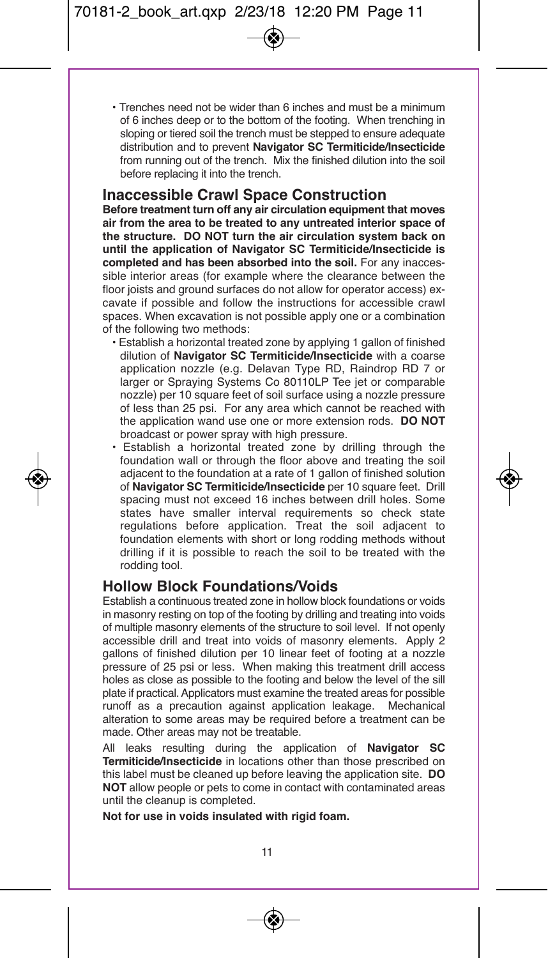• Trenches need not be wider than 6 inches and must be a minimum of 6 inches deep or to the bottom of the footing. When trenching in sloping or tiered soil the trench must be stepped to ensure adequate distribution and to prevent **Navigator SC Termiticide/Insecticide** from running out of the trench. Mix the finished dilution into the soil before replacing it into the trench.

### **Inaccessible Crawl Space Construction**

**Before treatment turn off any air circulation equipment that moves air from the area to be treated to any untreated interior space of the structure. DO NOT turn the air circulation system back on until the application of Navigator SC Termiticide/Insecticide is completed and has been absorbed into the soil.** For any inaccessible interior areas (for example where the clearance between the floor joists and ground surfaces do not allow for operator access) excavate if possible and follow the instructions for accessible crawl spaces. When excavation is not possible apply one or a combination of the following two methods:

- Establish a horizontal treated zone by applying 1 gallon of finished dilution of **Navigator SC Termiticide/Insecticide** with a coarse application nozzle (e.g. Delavan Type RD, Raindrop RD 7 or larger or Spraying Systems Co 80110LP Tee jet or comparable nozzle) per 10 square feet of soil surface using a nozzle pressure of less than 25 psi. For any area which cannot be reached with the application wand use one or more extension rods. **DO NOT** broadcast or power spray with high pressure.
- Establish a horizontal treated zone by drilling through the foundation wall or through the floor above and treating the soil adjacent to the foundation at a rate of 1 gallon of finished solution of **Navigator SC Termiticide/Insecticide** per 10 square feet. Drill spacing must not exceed 16 inches between drill holes. Some states have smaller interval requirements so check state regulations before application. Treat the soil adjacent to foundation elements with short or long rodding methods without drilling if it is possible to reach the soil to be treated with the rodding tool.

## **Hollow Block Foundations/Voids**

Establish a continuous treated zone in hollow block foundations or voids in masonry resting on top of the footing by drilling and treating into voids of multiple masonry elements of the structure to soil level. If not openly accessible drill and treat into voids of masonry elements. Apply 2 gallons of finished dilution per 10 linear feet of footing at a nozzle pressure of 25 psi or less. When making this treatment drill access holes as close as possible to the footing and below the level of the sill plate if practical.Applicators must examine the treated areas for possible runoff as a precaution against application leakage. Mechanical alteration to some areas may be required before a treatment can be made. Other areas may not be treatable.

All leaks resulting during the application of **Navigator SC Termiticide/Insecticide** in locations other than those prescribed on this label must be cleaned up before leaving the application site. **DO NOT** allow people or pets to come in contact with contaminated areas until the cleanup is completed.

**Not for use in voids insulated with rigid foam.**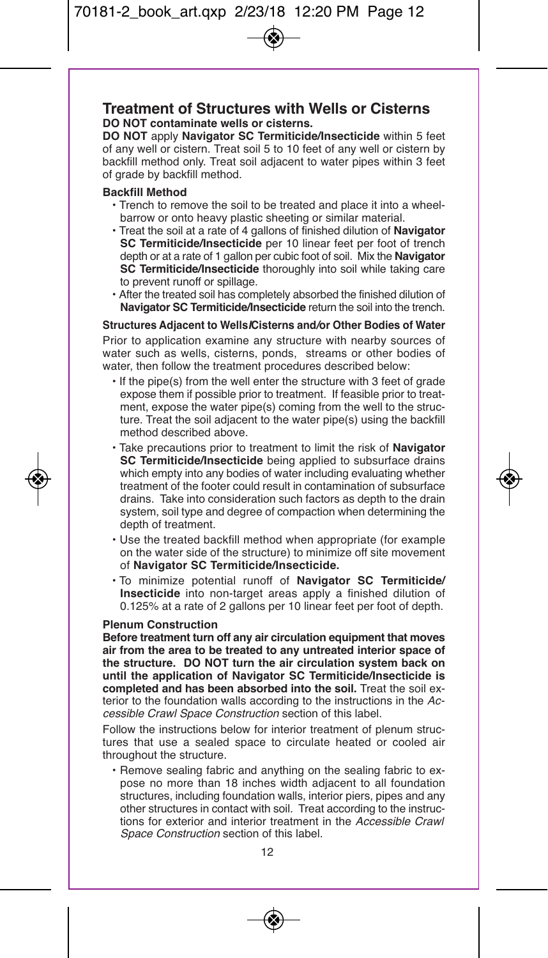### **Treatment of Structures with Wells or Cisterns DO NOT contaminate wells or cisterns.**

**DO NOT** apply **Navigator SC Termiticide/Insecticide** within 5 feet of any well or cistern. Treat soil 5 to 10 feet of any well or cistern by backfill method only. Treat soil adjacent to water pipes within 3 feet of grade by backfill method.

#### **Backfill Method**

- Trench to remove the soil to be treated and place it into a wheelbarrow or onto heavy plastic sheeting or similar material.
- Treat the soil at a rate of 4 gallons of finished dilution of **Navigator SC Termiticide/Insecticide** per 10 linear feet per foot of trench depth or at a rate of 1 gallon per cubic foot of soil. Mix the **Navigator SC Termiticide/Insecticide** thoroughly into soil while taking care to prevent runoff or spillage.
- After the treated soil has completely absorbed the finished dilution of **Navigator SC Termiticide/Insecticide** return the soil into the trench.

#### **Structures Adjacent to Wells***I***Cisterns and***/***or Other Bodies of Water**

Prior to application examine any structure with nearby sources of water such as wells, cisterns, ponds, streams or other bodies of water, then follow the treatment procedures described below:

- If the pipe(s) from the well enter the structure with 3 feet of grade expose them if possible prior to treatment. If feasible prior to treatment, expose the water pipe(s) coming from the well to the structure. Treat the soil adjacent to the water pipe(s) using the backfill method described above.
- Take precautions prior to treatment to limit the risk of **Navigator SC Termiticide/Insecticide** being applied to subsurface drains which empty into any bodies of water including evaluating whether treatment of the footer could result in contamination of subsurface drains. Take into consideration such factors as depth to the drain system, soil type and degree of compaction when determining the depth of treatment.
- Use the treated backfill method when appropriate (for example on the water side of the structure) to minimize off site movement of **Navigator SC Termiticide/Insecticide.**
- To minimize potential runoff of **Navigator SC Termiticide/ Insecticide** into non-target areas apply a finished dilution of 0.125% at a rate of 2 gallons per 10 linear feet per foot of depth.

#### **Plenum Construction**

**Before treatment turn off any air circulation equipment that moves air from the area to be treated to any untreated interior space of the structure. DO NOT turn the air circulation system back on until the application of Navigator SC Termiticide/Insecticide is completed and has been absorbed into the soil.** Treat the soil exterior to the foundation walls according to the instructions in the *Accessible Crawl Space Construction* section of this label.

Follow the instructions below for interior treatment of plenum structures that use a sealed space to circulate heated or cooled air throughout the structure.

• Remove sealing fabric and anything on the sealing fabric to expose no more than 18 inches width adjacent to all foundation structures, including foundation walls, interior piers, pipes and any other structures in contact with soil. Treat according to the instructions for exterior and interior treatment in the *Accessible Crawl Space Construction* section of this label.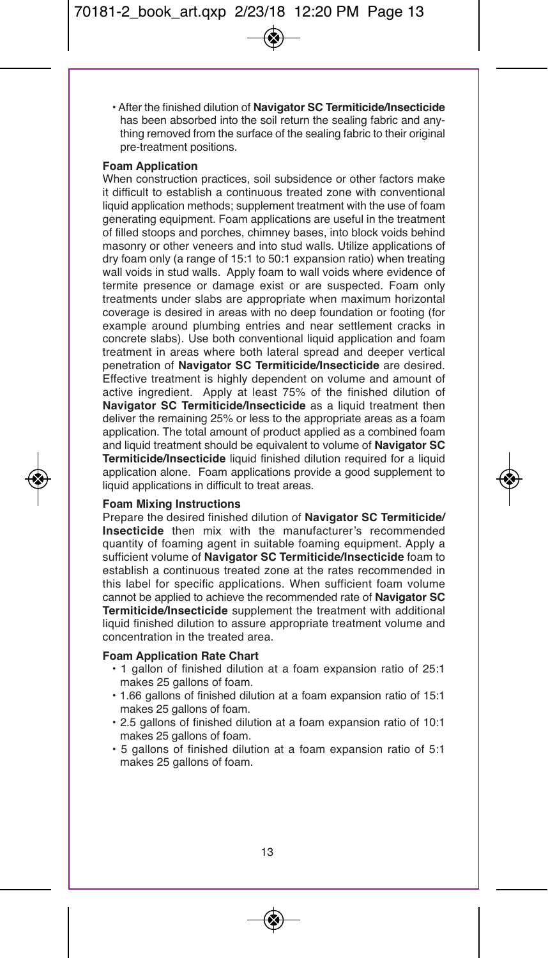• After the finished dilution of **Navigator SC Termiticide/Insecticide** has been absorbed into the soil return the sealing fabric and anything removed from the surface of the sealing fabric to their original pre-treatment positions.

#### **Foam Application**

When construction practices, soil subsidence or other factors make it difficult to establish a continuous treated zone with conventional liquid application methods; supplement treatment with the use of foam generating equipment. Foam applications are useful in the treatment of filled stoops and porches, chimney bases, into block voids behind masonry or other veneers and into stud walls. Utilize applications of dry foam only (a range of 15:1 to 50:1 expansion ratio) when treating wall voids in stud walls. Apply foam to wall voids where evidence of termite presence or damage exist or are suspected. Foam only treatments under slabs are appropriate when maximum horizontal coverage is desired in areas with no deep foundation or footing (for example around plumbing entries and near settlement cracks in concrete slabs). Use both conventional liquid application and foam treatment in areas where both lateral spread and deeper vertical penetration of **Navigator SC Termiticide/Insecticide** are desired. Effective treatment is highly dependent on volume and amount of active ingredient. Apply at least 75% of the finished dilution of **Navigator SC Termiticide/Insecticide** as a liquid treatment then deliver the remaining 25% or less to the appropriate areas as a foam application. The total amount of product applied as a combined foam and liquid treatment should be equivalent to volume of **Navigator SC Termiticide/Insecticide** liquid finished dilution required for a liquid application alone. Foam applications provide a good supplement to liquid applications in difficult to treat areas.

#### **Foam Mixing Instructions**

Prepare the desired finished dilution of **Navigator SC Termiticide/ Insecticide** then mix with the manufacturer's recommended quantity of foaming agent in suitable foaming equipment. Apply a sufficient volume of **Navigator SC Termiticide/Insecticide** foam to establish a continuous treated zone at the rates recommended in this label for specific applications. When sufficient foam volume cannot be applied to achieve the recommended rate of **Navigator SC Termiticide/Insecticide** supplement the treatment with additional liquid finished dilution to assure appropriate treatment volume and concentration in the treated area.

#### **Foam Application Rate Chart**

- 1 gallon of finished dilution at a foam expansion ratio of 25:1 makes 25 gallons of foam.
- 1.66 gallons of finished dilution at a foam expansion ratio of 15:1 makes 25 gallons of foam.
- 2.5 gallons of finished dilution at a foam expansion ratio of 10:1 makes 25 gallons of foam.
- 5 gallons of finished dilution at a foam expansion ratio of 5:1 makes 25 gallons of foam.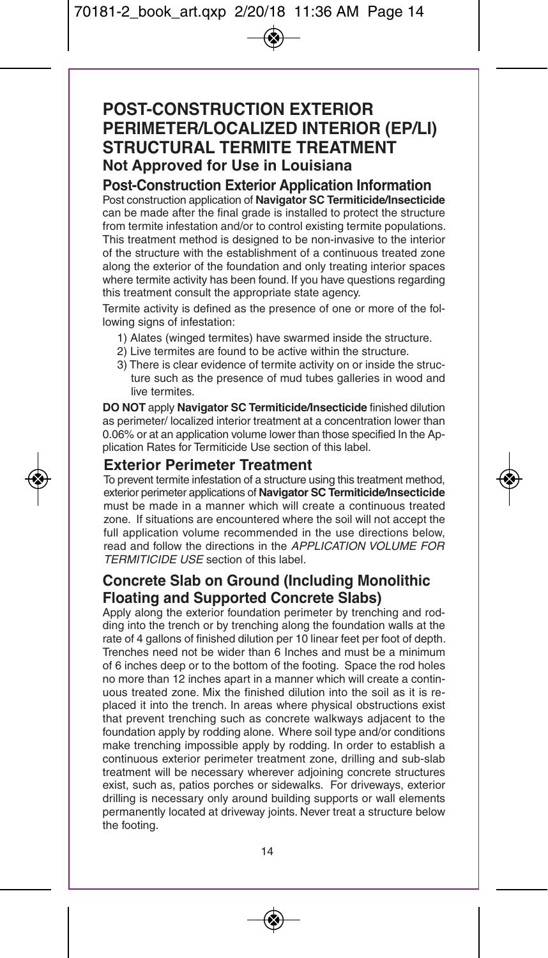## **POST-CONSTRUCTION EXTERIOR PERIMETER/LOCALIZED INTERIOR (EP/LI) STRUCTURAL TERMITE TREATMENT Not Approved for Use in Louisiana**

## **Post-Construction Exterior Application Information**

Post construction application of **Navigator SC Termiticide/Insecticide** can be made after the final grade is installed to protect the structure from termite infestation and/or to control existing termite populations. This treatment method is designed to be non-invasive to the interior of the structure with the establishment of a continuous treated zone along the exterior of the foundation and only treating interior spaces where termite activity has been found. If you have questions regarding this treatment consult the appropriate state agency.

Termite activity is defined as the presence of one or more of the following signs of infestation:

- 1) Alates (winged termites) have swarmed inside the structure.
- 2) Live termites are found to be active within the structure.
- 3) There is clear evidence of termite activity on or inside the structure such as the presence of mud tubes galleries in wood and live termites.

**DO NOT** apply **Navigator SC Termiticide/Insecticide** finished dilution as perimeter/ localized interior treatment at a concentration lower than 0.06% or at an application volume lower than those specified In the Application Rates for Termiticide Use section of this label.

**Exterior Perimeter Treatment**<br>To prevent termite infestation of a structure using this treatment method, exterior perimeter applications of **Navigator SC Termiticide/Insecticide** must be made in a manner which will create a continuous treated zone. If situations are encountered where the soil will not accept the full application volume recommended in the use directions below, read and follow the directions in the *APPLICATION VOLUME FOR TERMITICIDE USE* section of this label.

## **Concrete Slab on Ground (Including Monolithic Floating and Supported Concrete SIabs)**

Apply along the exterior foundation perimeter by trenching and rodding into the trench or by trenching along the foundation walls at the rate of 4 gallons of finished dilution per 10 linear feet per foot of depth. Trenches need not be wider than 6 Inches and must be a minimum of 6 inches deep or to the bottom of the footing. Space the rod holes no more than 12 inches apart in a manner which will create a continuous treated zone. Mix the finished dilution into the soil as it is replaced it into the trench. In areas where physical obstructions exist that prevent trenching such as concrete walkways adjacent to the foundation apply by rodding alone. Where soil type and/or conditions make trenching impossible apply by rodding. In order to establish a continuous exterior perimeter treatment zone, drilling and sub-slab treatment will be necessary wherever adjoining concrete structures exist, such as, patios porches or sidewalks. For driveways, exterior drilling is necessary only around building supports or wall elements permanently located at driveway joints. Never treat a structure below the footing.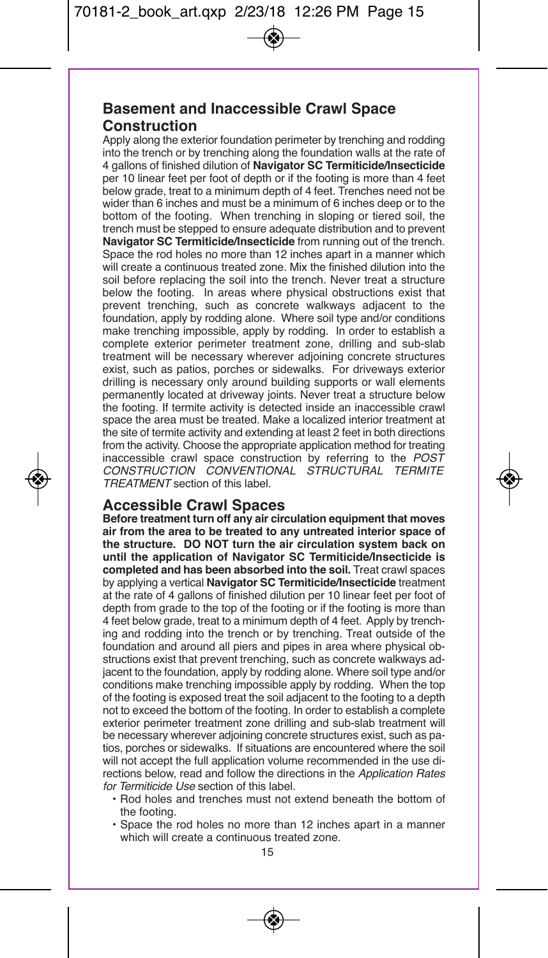## **Basement and Inaccessible Crawl Space Construction**

Apply along the exterior foundation perimeter by trenching and rodding into the trench or by trenching along the foundation walls at the rate of 4 gallons of finished dilution of **Navigator SC Termiticide/Insecticide** per 10 linear feet per foot of depth or if the footing is more than 4 feet below grade, treat to a minimum depth of 4 feet. Trenches need not be wider than 6 inches and must be a minimum of 6 inches deep or to the bottom of the footing. When trenching in sloping or tiered soil, the trench must be stepped to ensure adequate distribution and to prevent **Navigator SC Termiticide/Insecticide** from running out of the trench. Space the rod holes no more than 12 inches apart in a manner which will create a continuous treated zone. Mix the finished dilution into the soil before replacing the soil into the trench. Never treat a structure below the footing. In areas where physical obstructions exist that prevent trenching, such as concrete walkways adjacent to the foundation, apply by rodding alone. Where soil type and/or conditions make trenching impossible, apply by rodding. In order to establish a complete exterior perimeter treatment zone, drilling and sub-slab treatment will be necessary wherever adjoining concrete structures exist, such as patios, porches or sidewalks. For driveways exterior drilling is necessary only around building supports or wall elements permanently located at driveway joints. Never treat a structure below the footing. If termite activity is detected inside an inaccessible crawl space the area must be treated. Make a localized interior treatment at the site of termite activity and extending at least 2 feet in both directions from the activity. Choose the appropriate application method for treating inaccessible crawl space construction by referring to the *POST CONSTRUCTION CONVENTIONAL STRUCTURAL TERMITE TREATMENT* section of this label.

## **Accessible Crawl Spaces**

**Before treatment turn off any air circulation equipment that moves air from the area to be treated to any untreated interior space of the structure. DO NOT turn the air circulation system back on until the application of Navigator SC Termiticide/Insecticide is completed and has been absorbed into the soil.** Treat crawl spaces by applying a vertical **Navigator SC Termiticide/Insecticide** treatment at the rate of 4 gallons of finished dilution per 10 linear feet per foot of depth from grade to the top of the footing or if the footing is more than 4 feet below grade, treat to a minimum depth of 4 feet. Apply by trenching and rodding into the trench or by trenching. Treat outside of the foundation and around all piers and pipes in area where physical obstructions exist that prevent trenching, such as concrete walkways adjacent to the foundation, apply by rodding alone. Where soil type and/or conditions make trenching impossible apply by rodding. When the top of the footing is exposed treat the soil adjacent to the footing to a depth not to exceed the bottom of the footing. In order to establish a complete exterior perimeter treatment zone drilling and sub-slab treatment will be necessary wherever adjoining concrete structures exist, such as patios, porches or sidewalks. If situations are encountered where the soil will not accept the full application volume recommended in the use directions below, read and follow the directions in the *Application Rates for Termiticide Use* section of this label.

- Rod holes and trenches must not extend beneath the bottom of the footing.
- Space the rod holes no more than 12 inches apart in a manner which will create a continuous treated zone.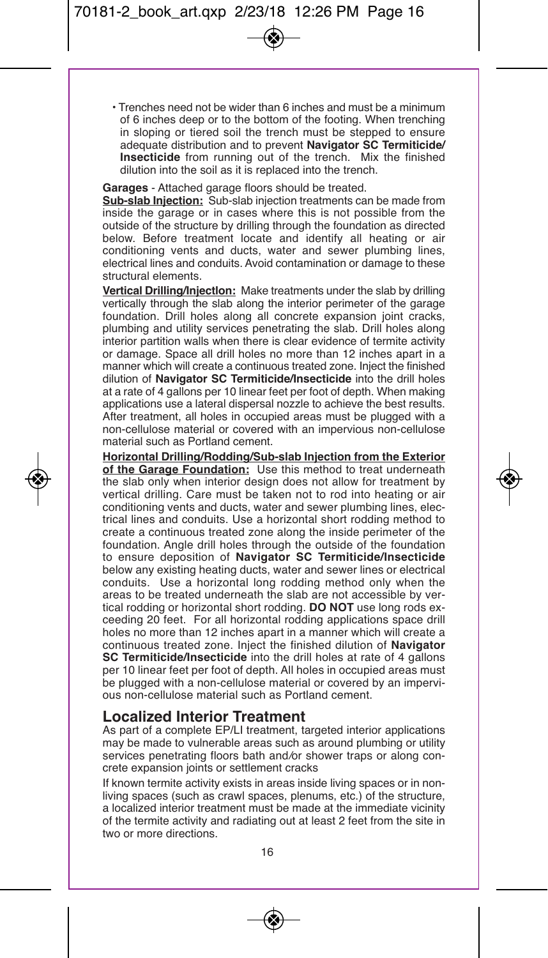• Trenches need not be wider than 6 inches and must be a minimum of 6 inches deep or to the bottom of the footing. When trenching in sloping or tiered soil the trench must be stepped to ensure adequate distribution and to prevent **Navigator SC Termiticide/ Insecticide** from running out of the trench. Mix the finished dilution into the soil as it is replaced into the trench.

**Garages** - Attached garage floors should be treated.

**Sub-slab Injection:** Sub-slab injection treatments can be made from inside the garage or in cases where this is not possible from the outside of the structure by drilling through the foundation as directed below. Before treatment locate and identify all heating or air conditioning vents and ducts, water and sewer plumbing lines, electrical lines and conduits. Avoid contamination or damage to these structural elements.

**Vertical Drilling/Injectlon:** Make treatments under the slab by drilling vertically through the slab along the interior perimeter of the garage foundation. Drill holes along all concrete expansion joint cracks, plumbing and utility services penetrating the slab. Drill holes along interior partition walls when there is clear evidence of termite activity or damage. Space all drill holes no more than 12 inches apart in a manner which will create a continuous treated zone. Inject the finished dilution of **Navigator SC Termiticide/Insecticide** into the drill holes at a rate of 4 gallons per 10 linear feet per foot of depth. When making applications use a lateral dispersal nozzle to achieve the best results. After treatment, all holes in occupied areas must be plugged with a non-cellulose material or covered with an impervious non-cellulose material such as Portland cement.

**Horizontal Drilling/Rodding/Sub-slab Injection from the Exterior of the Garage Foundation:** Use this method to treat underneath the slab only when interior design does not allow for treatment by vertical drilling. Care must be taken not to rod into heating or air conditioning vents and ducts, water and sewer plumbing lines, electrical lines and conduits. Use a horizontal short rodding method to create a continuous treated zone along the inside perimeter of the foundation. Angle drill holes through the outside of the foundation to ensure deposition of **Navigator SC Termiticide/Insecticide** below any existing heating ducts, water and sewer lines or electrical conduits. Use a horizontal long rodding method only when the areas to be treated underneath the slab are not accessible by vertical rodding or horizontal short rodding. **DO NOT** use long rods exceeding 20 feet. For all horizontal rodding applications space drill holes no more than 12 inches apart in a manner which will create a continuous treated zone. Inject the finished dilution of **Navigator SC Termiticide/Insecticide** into the drill holes at rate of 4 gallons per 10 linear feet per foot of depth. All holes in occupied areas must be plugged with a non-cellulose material or covered by an impervious non-cellulose material such as Portland cement.

## **Localized Interior Treatment**

As part of a complete EP/LI treatment, targeted interior applications may be made to vulnerable areas such as around plumbing or utility services penetrating floors bath and*/*or shower traps or along concrete expansion joints or settlement cracks

If known termite activity exists in areas inside living spaces or in nonliving spaces (such as crawl spaces, plenums, etc.) of the structure, a localized interior treatment must be made at the immediate vicinity of the termite activity and radiating out at least 2 feet from the site in two or more directions.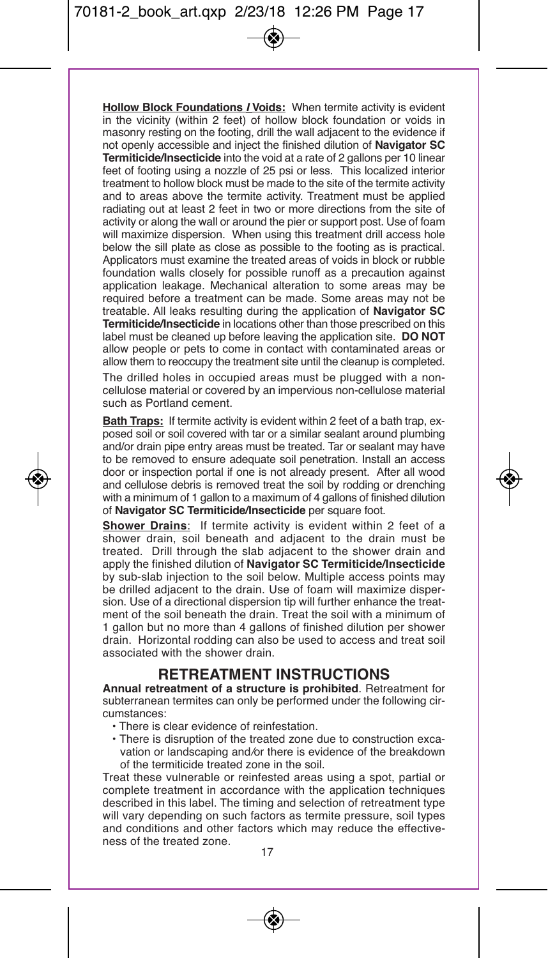**Hollow Block Foundations** *I* **Voids:** When termite activity is evident in the vicinity (within 2 feet) of hollow block foundation or voids in masonry resting on the footing, drill the wall adjacent to the evidence if not openly accessible and inject the finished dilution of **Navigator SC Termiticide/Insecticide** into the void at a rate of 2 gallons per 10 linear feet of footing using a nozzle of 25 psi or less. This localized interior treatment to hollow block must be made to the site of the termite activity and to areas above the termite activity. Treatment must be applied radiating out at least 2 feet in two or more directions from the site of activity or along the wall or around the pier or support post. Use of foam will maximize dispersion. When using this treatment drill access hole below the sill plate as close as possible to the footing as is practical. Applicators must examine the treated areas of voids in block or rubble foundation walls closely for possible runoff as a precaution against application leakage. Mechanical alteration to some areas may be required before a treatment can be made. Some areas may not be treatable. All leaks resulting during the application of **Navigator SC Termiticide/Insecticide** in locations other than those prescribed on this label must be cleaned up before leaving the application site. **DO NOT** allow people or pets to come in contact with contaminated areas or allow them to reoccupy the treatment site until the cleanup is completed.

The drilled holes in occupied areas must be plugged with a noncellulose material or covered by an impervious non-cellulose material such as Portland cement.

**Bath Traps:** If termite activity is evident within 2 feet of a bath trap, exposed soil or soil covered with tar or a similar sealant around plumbing and/or drain pipe entry areas must be treated. Tar or sealant may have to be removed to ensure adequate soil penetration. Install an access door or inspection portal if one is not already present. After all wood and cellulose debris is removed treat the soil by rodding or drenching with a minimum of 1 gallon to a maximum of 4 gallons of finished dilution of **Navigator SC Termiticide/Insecticide** per square foot.

**Shower Drains**: If termite activity is evident within 2 feet of a shower drain, soil beneath and adjacent to the drain must be treated. Drill through the slab adjacent to the shower drain and apply the finished dilution of **Navigator SC Termiticide/Insecticide** by sub-slab injection to the soil below. Multiple access points may be drilled adjacent to the drain. Use of foam will maximize dispersion. Use of a directional dispersion tip will further enhance the treatment of the soil beneath the drain. Treat the soil with a minimum of 1 gallon but no more than 4 gallons of finished dilution per shower drain. Horizontal rodding can also be used to access and treat soil associated with the shower drain.

### **RETREATMENT INSTRUCTIONS**

**Annual retreatment of a structure is prohibited**. Retreatment for subterranean termites can only be performed under the following circumstances:

- There is clear evidence of reinfestation.
- There is disruption of the treated zone due to construction excavation or landscaping and*/*or there is evidence of the breakdown of the termiticide treated zone in the soil.

Treat these vulnerable or reinfested areas using a spot, partial or complete treatment in accordance with the application techniques described in this label. The timing and selection of retreatment type will vary depending on such factors as termite pressure, soil types and conditions and other factors which may reduce the effectiveness of the treated zone.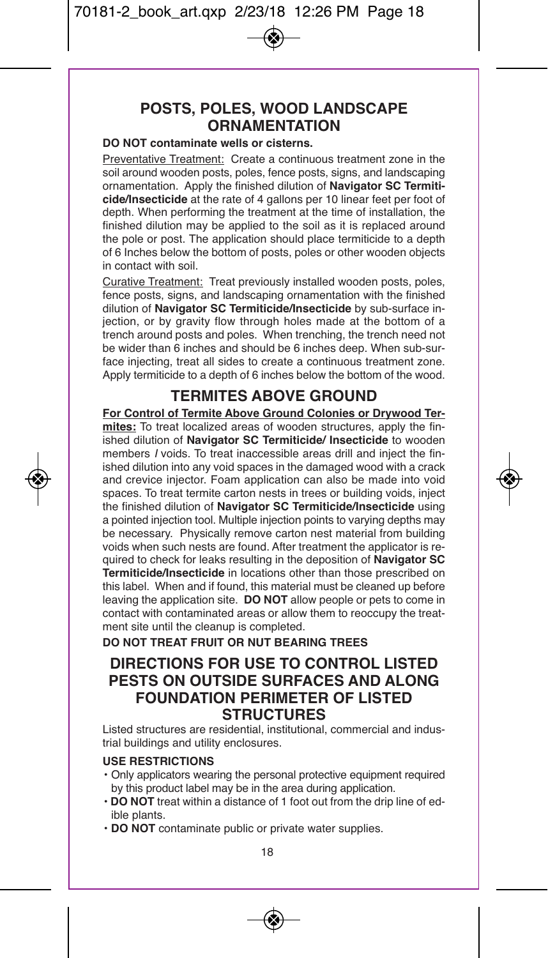## **POSTS, POLES, WOOD LANDSCAPE ORNAMENTATION**

### **DO NOT contaminate wells or cisterns.**

Preventative Treatment: Create a continuous treatment zone in the soil around wooden posts, poles, fence posts, signs, and landscaping ornamentation. Apply the finished dilution of **Navigator SC Termiticide/Insecticide** at the rate of 4 gallons per 10 linear feet per foot of depth. When performing the treatment at the time of installation, the finished dilution may be applied to the soil as it is replaced around the pole or post. The application should place termiticide to a depth of 6 Inches below the bottom of posts, poles or other wooden objects in contact with soil.

Curative Treatment: Treat previously installed wooden posts, poles, fence posts, signs, and landscaping ornamentation with the finished dilution of **Navigator SC Termiticide/Insecticide** by sub-surface injection, or by gravity flow through holes made at the bottom of a trench around posts and poles. When trenching, the trench need not be wider than 6 inches and should be 6 inches deep. When sub-surface injecting, treat all sides to create a continuous treatment zone. Apply termiticide to a depth of 6 inches below the bottom of the wood.

## **TERMITES ABOVE GROUND**

**For Control of Termite Above Ground Colonies or Drywood Termites:** To treat localized areas of wooden structures, apply the finished dilution of **Navigator SC Termiticide/ Insecticide** to wooden members *I* voids. To treat inaccessible areas drill and inject the finished dilution into any void spaces in the damaged wood with a crack and crevice injector. Foam application can also be made into void spaces. To treat termite carton nests in trees or building voids, inject the finished dilution of **Navigator SC Termiticide/Insecticide** using a pointed injection tool. Multiple injection points to varying depths may be necessary. Physically remove carton nest material from building voids when such nests are found. After treatment the applicator is required to check for leaks resulting in the deposition of **Navigator SC Termiticide/Insecticide** in locations other than those prescribed on this label. When and if found, this material must be cleaned up before leaving the application site. **DO NOT** allow people or pets to come in contact with contaminated areas or allow them to reoccupy the treatment site until the cleanup is completed.

**DO NOT TREAT FRUIT OR NUT BEARING TREES**

## **DIRECTIONS FOR USE TO CONTROL LISTED PESTS ON OUTSIDE SURFACES AND ALONG FOUNDATION PERIMETER OF LISTED STRUCTURES**

Listed structures are residential, institutional, commercial and industrial buildings and utility enclosures.

#### **USE RESTRICTIONS**

- Only applicators wearing the personal protective equipment required by this product label may be in the area during application.
- **DO NOT** treat within a distance of 1 foot out from the drip line of edible plants.
- **DO NOT** contaminate public or private water supplies.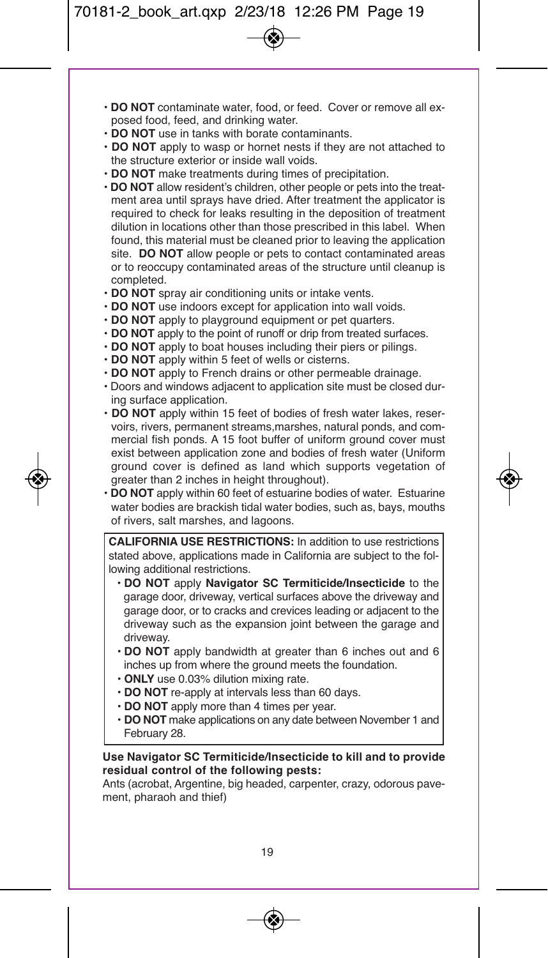- **DO NOT** contaminate water, food, or feed. Cover or remove all exposed food, feed, and drinking water.
- **DO NOT** use in tanks with borate contaminants.
- **DO NOT** apply to wasp or hornet nests if they are not attached to the structure exterior or inside wall voids.
- **DO NOT** make treatments during times of precipitation.
- **DO NOT** allow resident's children, other people or pets into the treatment area until sprays have dried. After treatment the applicator is required to check for leaks resulting in the deposition of treatment dilution in locations other than those prescribed in this label. When found, this material must be cleaned prior to leaving the application site. **DO NOT** allow people or pets to contact contaminated areas or to reoccupy contaminated areas of the structure until cleanup is completed.
- **DO NOT** spray air conditioning units or intake vents.
- **DO NOT** use indoors except for application into wall voids.
- **DO NOT** apply to playground equipment or pet quarters.
- **DO NOT** apply to the point of runoff or drip from treated surfaces.
- **DO NOT** apply to boat houses including their piers or pilings.
- **DO NOT** apply within 5 feet of wells or cisterns.
- **DO NOT** apply to French drains or other permeable drainage.
- Doors and windows adjacent to application site must be closed during surface application.
- **DO NOT** apply within 15 feet of bodies of fresh water lakes, reservoirs, rivers, permanent streams,marshes, natural ponds, and commercial fish ponds. A 15 foot buffer of uniform ground cover must exist between application zone and bodies of fresh water (Uniform ground cover is defined as land which supports vegetation of greater than 2 inches in height throughout).
- **DO NOT** apply within 60 feet of estuarine bodies of water. Estuarine water bodies are brackish tidal water bodies, such as, bays, mouths of rivers, salt marshes, and lagoons.

**CALIFORNIA USE RESTRICTIONS:** In addition to use restrictions stated above, applications made in California are subject to the following additional restrictions.

- **DO NOT** apply **Navigator SC Termiticide/Insecticide** to the garage door, driveway, vertical surfaces above the driveway and garage door, or to cracks and crevices leading or adjacent to the driveway such as the expansion joint between the garage and driveway.
- **DO NOT** apply bandwidth at greater than 6 inches out and 6 inches up from where the ground meets the foundation.
- **ONLY** use 0.03% dilution mixing rate.
- **DO NOT** re-apply at intervals less than 60 days.
- **DO NOT** apply more than 4 times per year.
- **DO NOT** make applications on any date between November 1 and February 28.

#### **Use Navigator SC Termiticide/Insecticide to kill and to provide residual control of the following pests:**

Ants (acrobat, Argentine, big headed, carpenter, crazy, odorous pavement, pharaoh and thief)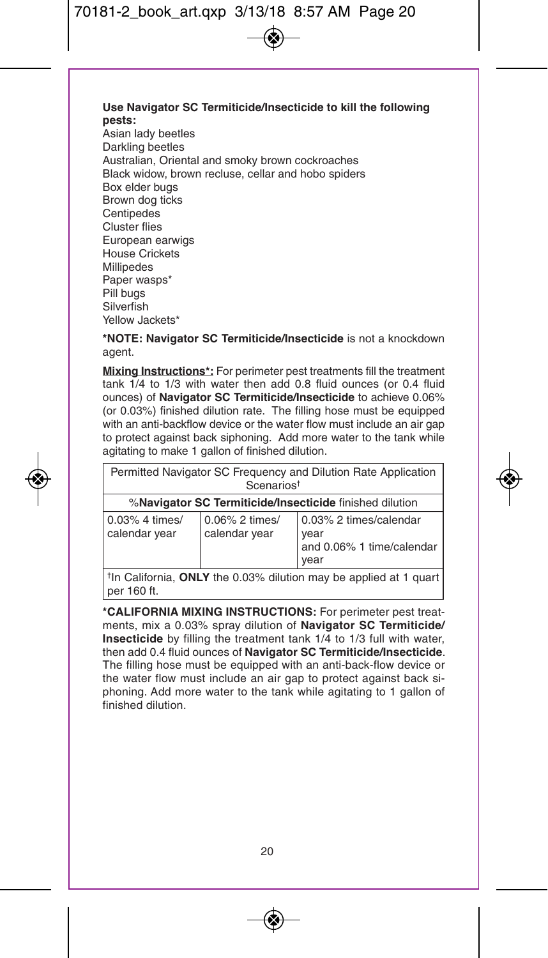#### **Use Navigator SC Termiticide/Insecticide to kill the following pests:**

Asian lady beetles Darkling beetles Australian, Oriental and smoky brown cockroaches Black widow, brown recluse, cellar and hobo spiders Box elder bugs Brown dog ticks **Centipedes** Cluster flies European earwigs House Crickets Millipedes Paper wasps\* Pill bugs Silverfish Yellow Jackets\*

**\*NOTE: Navigator SC Termiticide/Insecticide** is not a knockdown agent.

**Mixing Instructions\*:** For perimeter pest treatments fill the treatment tank 1/4 to 1/3 with water then add 0.8 fluid ounces (or 0.4 fluid ounces) of **Navigator SC Termiticide/Insecticide** to achieve 0.06% (or 0.03%) finished dilution rate. The filling hose must be equipped with an anti-backflow device or the water flow must include an air gap to protect against back siphoning. Add more water to the tank while agitating to make 1 gallon of finished dilution.

| Permitted Navigator SC Frequency and Dilution Rate Application<br>Scenarios <sup>t</sup> |                                 |                                                                     |  |  |
|------------------------------------------------------------------------------------------|---------------------------------|---------------------------------------------------------------------|--|--|
| %Navigator SC Termiticide/Insecticide finished dilution                                  |                                 |                                                                     |  |  |
| 0.03% 4 times/<br>calendar year                                                          | 0.06% 2 times/<br>calendar year | 0.03% 2 times/calendar<br>year<br>and 0.06% 1 time/calendar<br>vear |  |  |
| $\pm$ th Colifornia. <b>ONILV</b> the 0.09% dilution movi be applied at 1 quart.         |                                 |                                                                     |  |  |

†In California, **ONLY** the 0.03% dilution may be applied at 1 quart per 160 ft.

**\*CALIFORNIA MIXING INSTRUCTIONS:** For perimeter pest treatments, mix a 0.03% spray dilution of **Navigator SC Termiticide/ Insecticide** by filling the treatment tank 1/4 to 1/3 full with water, then add 0.4 fluid ounces of **Navigator SC Termiticide/Insecticide**. The filling hose must be equipped with an anti-back-flow device or the water flow must include an air gap to protect against back siphoning. Add more water to the tank while agitating to 1 gallon of finished dilution.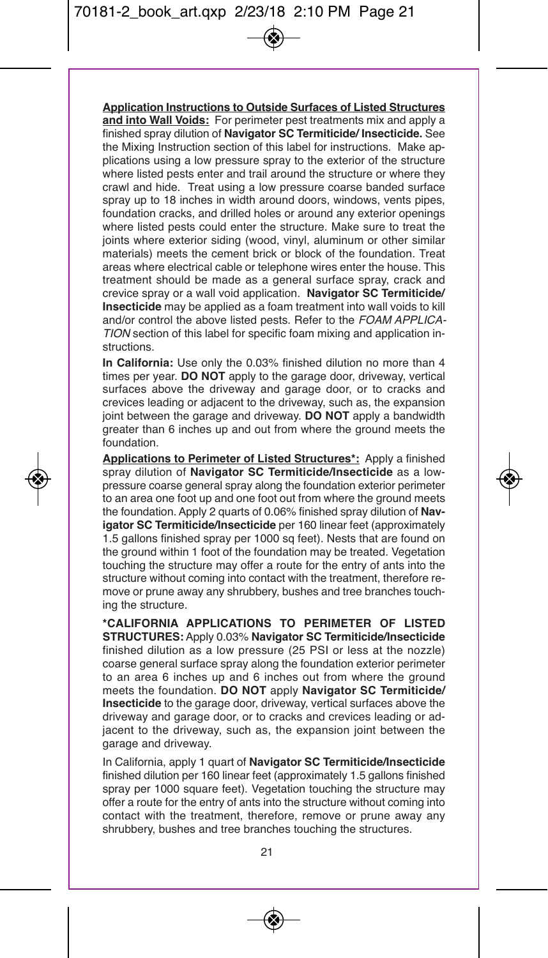**Application Instructions to Outside Surfaces of Listed Structures and into Wall Voids:** For perimeter pest treatments mix and apply a finished spray dilution of **Navigator SC Termiticide/ Insecticide.** See the Mixing Instruction section of this label for instructions. Make applications using a low pressure spray to the exterior of the structure where listed pests enter and trail around the structure or where they crawl and hide. Treat using a low pressure coarse banded surface spray up to 18 inches in width around doors, windows, vents pipes, foundation cracks, and drilled holes or around any exterior openings where listed pests could enter the structure. Make sure to treat the joints where exterior siding (wood, vinyl, aluminum or other similar materials) meets the cement brick or block of the foundation. Treat areas where electrical cable or telephone wires enter the house. This treatment should be made as a general surface spray, crack and crevice spray or a wall void application. **Navigator SC Termiticide/ Insecticide** may be applied as a foam treatment into wall voids to kill and/or control the above listed pests. Refer to the *FOAM APPLICA-TION* section of this label for specific foam mixing and application instructions.

**In California:** Use only the 0.03% finished dilution no more than 4 times per year. **DO NOT** apply to the garage door, driveway, vertical surfaces above the driveway and garage door, or to cracks and crevices leading or adjacent to the driveway, such as, the expansion joint between the garage and driveway. **DO NOT** apply a bandwidth greater than 6 inches up and out from where the ground meets the foundation.

**Applications to Perimeter of Listed Structures\*:** Apply a finished spray dilution of **Navigator SC Termiticide/Insecticide** as a lowpressure coarse general spray along the foundation exterior perimeter to an area one foot up and one foot out from where the ground meets the foundation. Apply 2 quarts of 0.06% finished spray dilution of **Navigator SC Termiticide/Insecticide** per 160 linear feet (approximately 1.5 gallons finished spray per 1000 sq feet). Nests that are found on the ground within 1 foot of the foundation may be treated. Vegetation touching the structure may offer a route for the entry of ants into the structure without coming into contact with the treatment, therefore remove or prune away any shrubbery, bushes and tree branches touching the structure.

**\*CALIFORNIA APPLICATIONS TO PERIMETER OF LISTED STRUCTURES:** Apply 0.03% **Navigator SC Termiticide/Insecticide** finished dilution as a low pressure (25 PSI or less at the nozzle) coarse general surface spray along the foundation exterior perimeter to an area 6 inches up and 6 inches out from where the ground meets the foundation. **DO NOT** apply **Navigator SC Termiticide/ Insecticide** to the garage door, driveway, vertical surfaces above the driveway and garage door, or to cracks and crevices leading or adjacent to the driveway, such as, the expansion joint between the garage and driveway.

In California, apply 1 quart of **Navigator SC Termiticide/Insecticide** finished dilution per 160 linear feet (approximately 1.5 gallons finished spray per 1000 square feet). Vegetation touching the structure may offer a route for the entry of ants into the structure without coming into contact with the treatment, therefore, remove or prune away any shrubbery, bushes and tree branches touching the structures.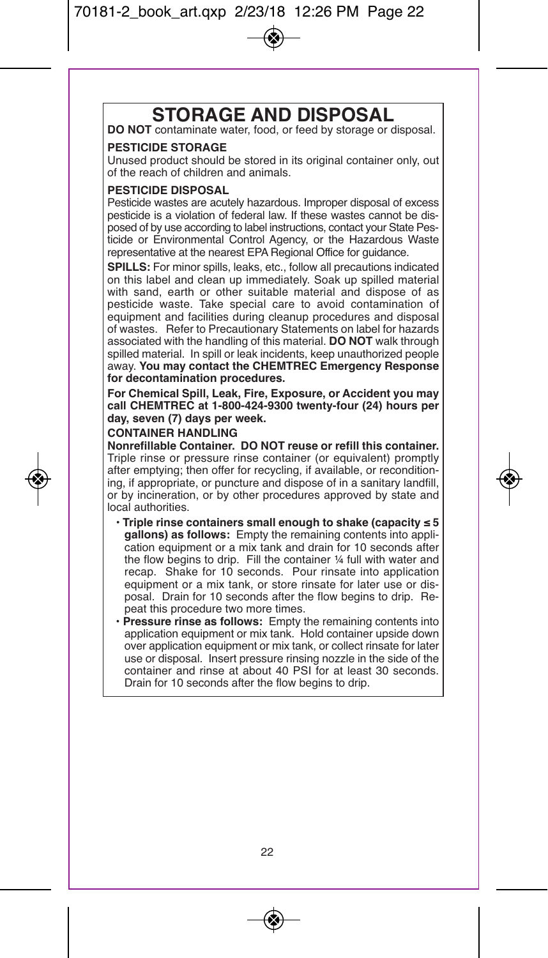# **STORAGE AND DISPOSAL DO NOT** contaminate water, food, or feed by storage or disposal.

#### **PESTICIDE STORAGE**

Unused product should be stored in its original container only, out of the reach of children and animals.

#### **PESTICIDE DISPOSAL**

Pesticide wastes are acutely hazardous. Improper disposal of excess pesticide is a violation of federal law. If these wastes cannot be disposed of by use according to label instructions, contact your State Pesticide or Environmental Control Agency, or the Hazardous Waste representative at the nearest EPA Regional Office for guidance.

**SPILLS:** For minor spills, leaks, etc., follow all precautions indicated on this label and clean up immediately. Soak up spilled material with sand, earth or other suitable material and dispose of as pesticide waste. Take special care to avoid contamination of equipment and facilities during cleanup procedures and disposal of wastes. Refer to Precautionary Statements on label for hazards associated with the handling of this material. **DO NOT** walk through spilled material. In spill or leak incidents, keep unauthorized people away. **You may contact the CHEMTREC Emergency Response for decontamination procedures.**

**For Chemical Spill, Leak, Fire, Exposure, or Accident you may call CHEMTREC at 1-800-424-9300 twenty-four (24) hours per day, seven (7) days per week.**

#### **CONTAINER HANDLING**

**Nonrefillable Container. DO NOT reuse or refill this container.** Triple rinse or pressure rinse container (or equivalent) promptly after emptying; then offer for recycling, if available, or reconditioning, if appropriate, or puncture and dispose of in a sanitary landfill, or by incineration, or by other procedures approved by state and local authorities.

- **Triple rinse containers small enough to shake (capacity ≤ 5 gallons) as follows:** Empty the remaining contents into application equipment or a mix tank and drain for 10 seconds after the flow begins to drip. Fill the container ¼ full with water and recap. Shake for 10 seconds. Pour rinsate into application equipment or a mix tank, or store rinsate for later use or disposal. Drain for 10 seconds after the flow begins to drip. Repeat this procedure two more times.
- **Pressure rinse as follows:** Empty the remaining contents into application equipment or mix tank. Hold container upside down over application equipment or mix tank, or collect rinsate for later use or disposal. Insert pressure rinsing nozzle in the side of the container and rinse at about 40 PSI for at least 30 seconds. Drain for 10 seconds after the flow begins to drip.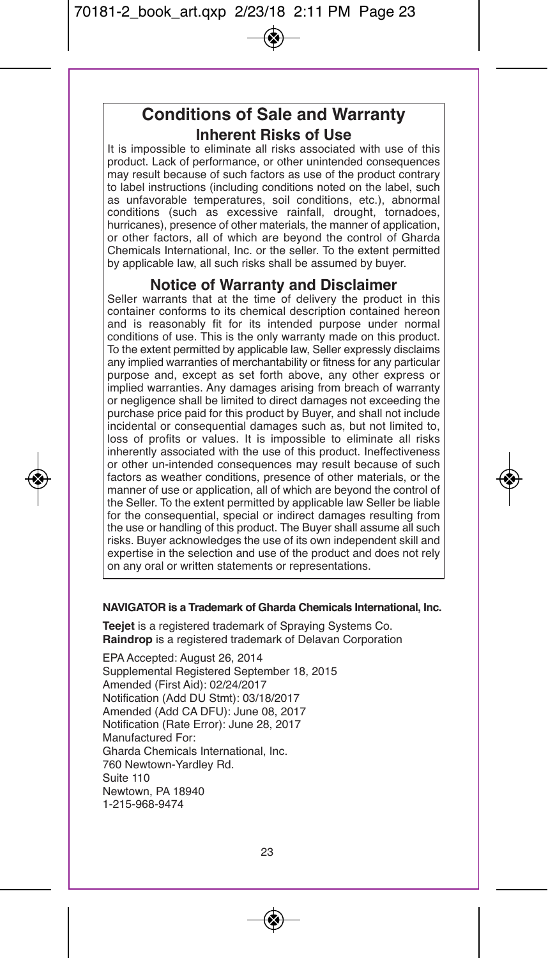## **Conditions of Sale and Warranty Inherent Risks of Use**

It is impossible to eliminate all risks associated with use of this product. Lack of performance, or other unintended consequences may result because of such factors as use of the product contrary to label instructions (including conditions noted on the label, such as unfavorable temperatures, soil conditions, etc.), abnormal conditions (such as excessive rainfall, drought, tornadoes, hurricanes), presence of other materials, the manner of application, or other factors, all of which are beyond the control of Gharda Chemicals International, Inc. or the seller. To the extent permitted by applicable law, all such risks shall be assumed by buyer.

## **Notice of Warranty and Disclaimer**

Seller warrants that at the time of delivery the product in this container conforms to its chemical description contained hereon and is reasonably fit for its intended purpose under normal conditions of use. This is the only warranty made on this product. To the extent permitted by applicable law, Seller expressly disclaims any implied warranties of merchantability or fitness for any particular purpose and, except as set forth above, any other express or implied warranties. Any damages arising from breach of warranty or negligence shall be limited to direct damages not exceeding the purchase price paid for this product by Buyer, and shall not include incidental or consequential damages such as, but not limited to, loss of profits or values. It is impossible to eliminate all risks inherently associated with the use of this product. Ineffectiveness or other un-intended consequences may result because of such factors as weather conditions, presence of other materials, or the manner of use or application, all of which are beyond the control of the Seller. To the extent permitted by applicable law Seller be liable for the consequential, special or indirect damages resulting from the use or handling of this product. The Buyer shall assume all such risks. Buyer acknowledges the use of its own independent skill and expertise in the selection and use of the product and does not rely on any oral or written statements or representations.

#### **NAVIGATOR is a Trademark of Gharda Chemicals International, Inc.**

**Teejet** is a registered trademark of Spraying Systems Co. **Raindrop** is a registered trademark of Delavan Corporation

EPA Accepted: August 26, 2014 Supplemental Registered September 18, 2015 Amended (First Aid): 02/24/2017 Notification (Add DU Stmt): 03/18/2017 Amended (Add CA DFU): June 08, 2017 Notification (Rate Error): June 28, 2017 Manufactured For: Gharda Chemicals International, Inc. 760 Newtown-Yardley Rd. Suite 110 Newtown, PA 18940 1-215-968-9474